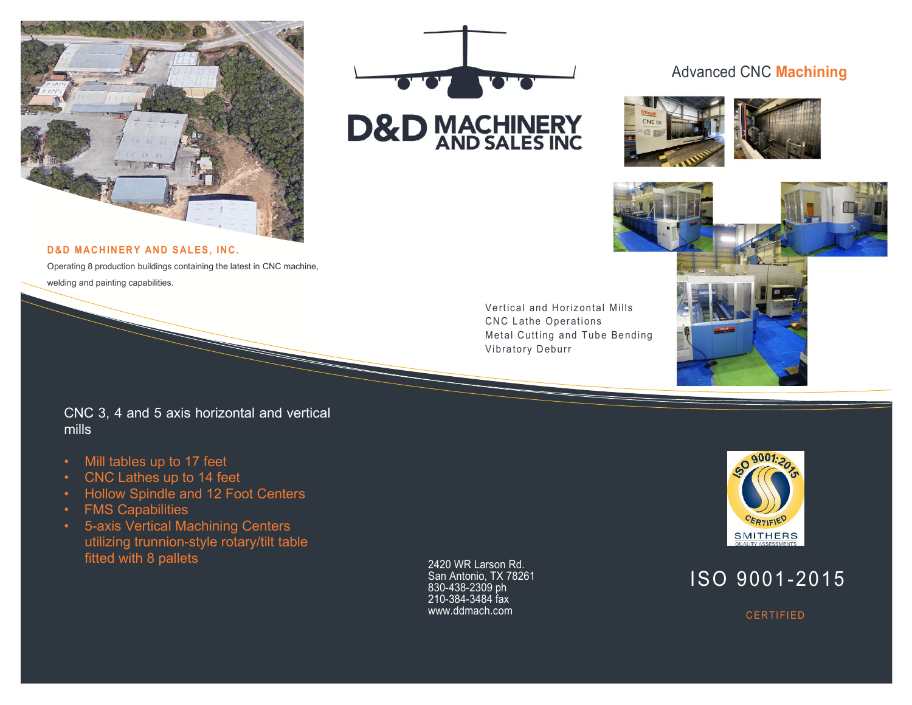



### Advanced CNC **Machining**





**D&D MACHINERY AND SALES, INC.**

Operating 8 production buildings containing the latest in CNC machine, welding and painting capabilities.

> Vertical and Horizontal Mills CNC Lathe Operations Metal Cutting and Tube Bending Vibratory Deburr

CNC 3, 4 and 5 axis horizontal and vertical mills

- Mill tables up to 17 feet
- CNC Lathes up to 14 feet
- Hollow Spindle and 12 Foot Centers
- FMS Capabilities
- 5-axis Vertical Machining Centers utilizing trunnion-style rotary/tilt table fitted with 8 pallets

2420 WR Larson Rd. San Antonio, TX 78261 830-438-2309 ph 210-384-3484 fax www.ddmach.com



# ISO 9001-2015

**CERTIFIED**